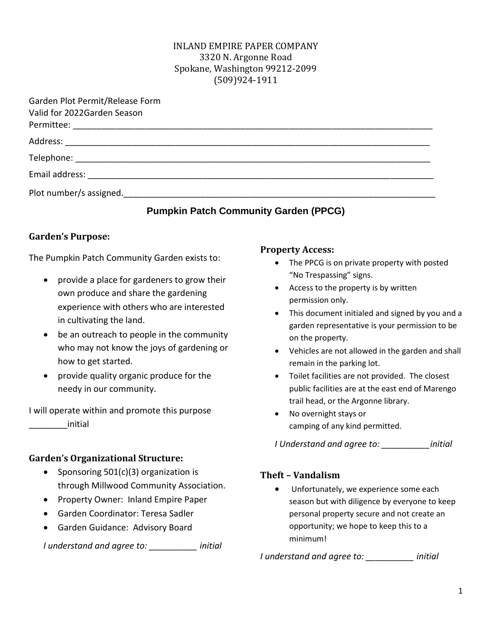#### INLAND EMPIRE PAPER COMPANY 3320 N. Argonne Road Spokane, Washington 99212-2099 (509)924-1911

| Garden Plot Permit/Release Form |  |  |  |
|---------------------------------|--|--|--|
| Valid for 2022Garden Season     |  |  |  |
|                                 |  |  |  |
|                                 |  |  |  |
|                                 |  |  |  |
|                                 |  |  |  |
|                                 |  |  |  |

### **Pumpkin Patch Community Garden (PPCG)**

### **Garden's Purpose:**

The Pumpkin Patch Community Garden exists to:

- provide a place for gardeners to grow their own produce and share the gardening experience with others who are interested in cultivating the land.
- be an outreach to people in the community who may not know the joys of gardening or how to get started.
- provide quality organic produce for the needy in our community.

I will operate within and promote this purpose \_\_\_\_\_\_\_\_initial

#### **Garden's Organizational Structure:**

- Sponsoring 501(c)(3) organization is through Millwood Community Association.
- Property Owner: Inland Empire Paper
- Garden Coordinator: Teresa Sadler
- Garden Guidance: Advisory Board

*I understand and agree to: \_\_\_\_\_\_\_\_\_\_ initial*

#### **Property Access:**

- The PPCG is on private property with posted "No Trespassing" signs.
- Access to the property is by written permission only.
- This document initialed and signed by you and a garden representative is your permission to be on the property.
- Vehicles are not allowed in the garden and shall remain in the parking lot.
- Toilet facilities are not provided. The closest public facilities are at the east end of Marengo trail head, or the Argonne library.
- No overnight stays or camping of any kind permitted.

*I Understand and agree to: \_\_\_\_\_\_\_\_\_\_initial*

#### **Theft – Vandalism**

• Unfortunately, we experience some each season but with diligence by everyone to keep personal property secure and not create an opportunity; we hope to keep this to a minimum!

*I understand and agree to: \_\_\_\_\_\_\_\_\_\_ initial*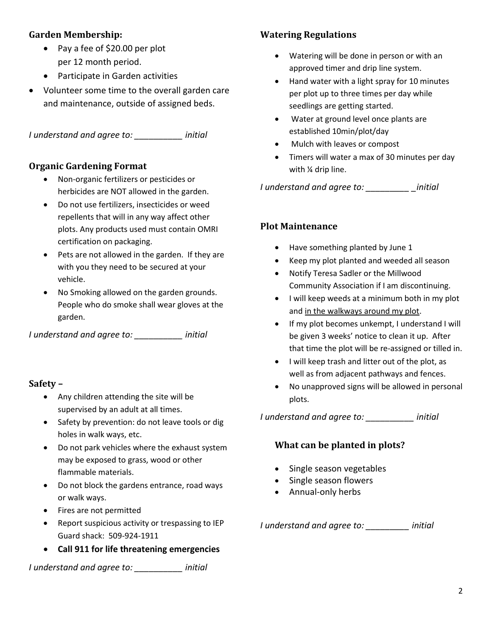### **Garden Membership:**

- Pay a fee of \$20.00 per plot per 12 month period.
- Participate in Garden activities
- Volunteer some time to the overall garden care and maintenance, outside of assigned beds.

*I understand and agree to: \_\_\_\_\_\_\_\_\_\_ initial* 

### **Organic Gardening Format**

- Non-organic fertilizers or pesticides or herbicides are NOT allowed in the garden.
- Do not use fertilizers, insecticides or weed repellents that will in any way affect other plots. Any products used must contain OMRI certification on packaging.
- Pets are not allowed in the garden. If they are with you they need to be secured at your vehicle.
- No Smoking allowed on the garden grounds. People who do smoke shall wear gloves at the garden.

*I understand and agree to: \_\_\_\_\_\_\_\_\_\_ initial*

#### **Safety –**

- Any children attending the site will be supervised by an adult at all times.
- Safety by prevention: do not leave tools or dig holes in walk ways, etc.
- Do not park vehicles where the exhaust system may be exposed to grass, wood or other flammable materials.
- Do not block the gardens entrance, road ways or walk ways.
- Fires are not permitted
- Report suspicious activity or trespassing to IEP Guard shack: 509-924-1911
- **Call 911 for life threatening emergencies**

*I understand and agree to: \_\_\_\_\_\_\_\_\_\_ initial*

## **Watering Regulations**

- Watering will be done in person or with an approved timer and drip line system.
- Hand water with a light spray for 10 minutes per plot up to three times per day while seedlings are getting started.
- Water at ground level once plants are established 10min/plot/day
- Mulch with leaves or compost
- Timers will water a max of 30 minutes per day with ¼ drip line.

*I understand and agree to: \_\_\_\_\_\_\_\_\_ \_initial*

### **Plot Maintenance**

- Have something planted by June 1
- Keep my plot planted and weeded all season
- Notify Teresa Sadler or the Millwood Community Association if I am discontinuing.
- I will keep weeds at a minimum both in my plot and in the walkways around my plot.
- If my plot becomes unkempt, I understand I will be given 3 weeks' notice to clean it up. After that time the plot will be re-assigned or tilled in.
- I will keep trash and litter out of the plot, as well as from adjacent pathways and fences.
- No unapproved signs will be allowed in personal plots.

*I understand and agree to: \_\_\_\_\_\_\_\_\_\_ initial*

### **What can be planted in plots?**

- Single season vegetables
- Single season flowers
- Annual-only herbs

*I understand and agree to: \_\_\_\_\_\_\_\_\_ initial*